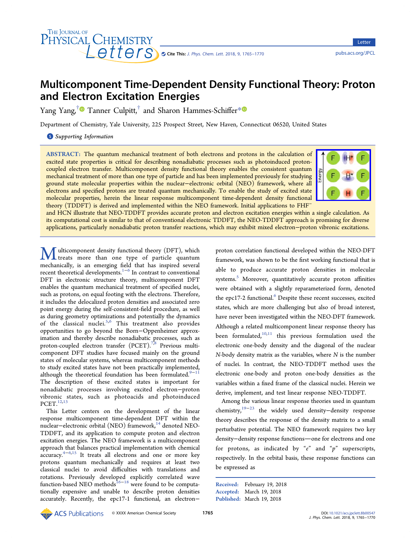<span id="page-0-0"></span>

Letter Letter

# Multicomponent Time-Dependent Density Functional Theory: Proton and Electron Excitation Energies

Yang Yang,<sup>[†](#page-4-0)</sup> Tanner Culpitt,<sup>†</sup> and Sharon Hammes-Schiffer[\\*](#page-4-0)

Department of Chemistry, Yale University, 225 Prospect Street, New Haven, Connecticut 06520, United States

S [Supporting Information](#page-4-0)

ABSTRACT: The quantum mechanical treatment of both electrons and protons in the calculation of excited state properties is critical for describing nonadiabatic processes such as photoinduced protoncoupled electron transfer. Multicomponent density functional theory enables the consistent quantum mechanical treatment of more than one type of particle and has been implemented previously for studying ground state molecular properties within the nuclear−electronic orbital (NEO) framework, where all electrons and specified protons are treated quantum mechanically. To enable the study of excited state molecular properties, herein the linear response multicomponent time-dependent density functional theory (TDDFT) is derived and implemented within the NEO framework. Initial applications to FHF<sup>−</sup>



and HCN illustrate that NEO-TDDFT provides accurate proton and electron excitation energies within a single calculation. As its computational cost is similar to that of conventional electronic TDDFT, the NEO-TDDFT approach is promising for diverse applications, particularly nonadiabatic proton transfer reactions, which may exhibit mixed electron−proton vibronic excitations.

I ulticomponent density functional theory (DFT), which treats more than one type of particle quantum mechanically, is an emerging field that has inspired several recent theoretical developments.[1](#page-4-0)−[6](#page-4-0) In contrast to conventional DFT in electronic structure theory, multicomponent DFT enables the quantum mechanical treatment of specified nuclei, such as protons, on equal footing with the electrons. Therefore, it includes the delocalized proton densities and associated zero point energy during the self-consistent-field procedure, as well as during geometry optimizations and potentially the dynamics of the classical nuclei.<sup>[5](#page-4-0),[6](#page-4-0)</sup> This treatment also provides opportunities to go beyond the Born−Oppenheimer approximation and thereby describe nonadiabatic processes, such as proton-coupled electron transfer (PCET).<sup>[7,8](#page-4-0)</sup> Previous multicomponent DFT studies have focused mainly on the ground states of molecular systems, whereas multicomponent methods to study excited states have not been practically implemented, although the theoretical foundation has been formulated. $9-11$  $9-11$  $9-11$ The description of these excited states is important for nonadiabatic processes involving excited electron−proton vibronic states, such as photoacids and photoinduced  $PCET.<sup>12</sup>$ 

This Letter centers on the development of the linear response multicomponent time-dependent DFT within the nuclear−electronic orbital (NEO) framework,<sup>[14](#page-4-0)</sup> denoted NEO-TDDFT, and its application to compute proton and electron excitation energies. The NEO framework is a multicomponent approach that balances practical implementation with chemical accuracy.[4](#page-4-0)−[6,15](#page-4-0) It treats all electrons and one or more key protons quantum mechanically and requires at least two classical nuclei to avoid difficulties with translations and rotations. Previously developed explicitly correlated wave function-based NEO methods  $^{16-18}$  $^{16-18}$  $^{16-18}$  $^{16-18}$  $^{16-18}$  were found to be computationally expensive and unable to describe proton densities accurately. Recently, the epc17-1 functional, an electron−

proton correlation functional developed within the NEO-DFT framework, was shown to be the first working functional that is able to produce accurate proton densities in molecular systems.<sup>[5](#page-4-0)</sup> Moreover, quantitatively accurate proton affinities were obtained with a slightly reparameterized form, denoted the epc17-2 functional.<sup>[6](#page-4-0)</sup> Despite these recent successes, excited states, which are more challenging but also of broad interest, have never been investigated within the NEO-DFT framework. Although a related multicomponent linear response theory has been formulated, $10,11$  this previous formulation used the electronic one-body density and the diagonal of the nuclear N-body density matrix as the variables, where N is the number of nuclei. In contrast, the NEO-TDDFT method uses the electronic one-body and proton one-body densities as the variables within a fixed frame of the classical nuclei. Herein we derive, implement, and test linear response NEO-TDDFT.

Among the various linear response theories used in quantum chemistry,[19](#page-5-0)−[23](#page-5-0) the widely used density−density response theory describes the response of the density matrix to a small perturbative potential. The NEO framework requires two key density-density response functions-one for electrons and one for protons, as indicated by " $e$ " and " $p$ " superscripts, respectively. In the orbital basis, these response functions can be expressed as

Received: February 19, 2018 Accepted: March 19, 2018 Published: March 19, 2018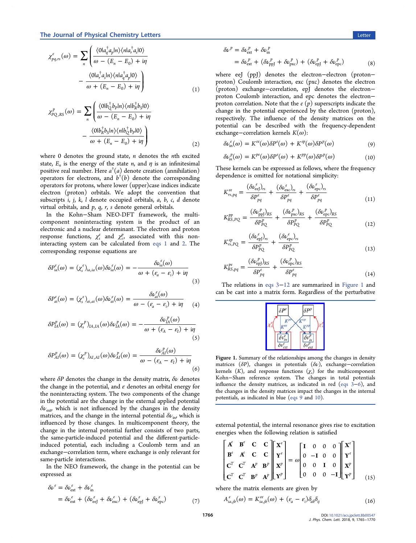## <span id="page-1-0"></span>The Journal of Physical Chemistry Letters Letters Letter Letter Letter Letter Letter Letter Letters Letters Letters Letters Letters Letters Letters Letters Letters Letters Letters Letters Letters Letters Letters Letters Le

$$
\chi_{pq,rs}^{e}(\omega) = \sum_{n} \left( \frac{\langle 0|a_{q}^{\dagger}a_{p}|n\rangle\langle n|a_{r}^{\dagger}a_{s}|0\rangle}{\omega - (E_{n} - E_{0}) + i\eta} - \frac{\langle 0|a_{r}^{\dagger}a_{s}|n\rangle\langle n|a_{q}^{\dagger}a_{p}|0\rangle}{\omega + (E_{n} - E_{0}) + i\eta} \right)
$$
\n(1)

$$
\chi_{PQ,RS}^{p}(\omega) = \sum_{n} \left( \frac{\langle 0|b_{Q}^{\dagger}b_{p}|n\rangle\langle n|b_{R}^{\dagger}b_{S}|0\rangle}{\omega - (E_{n} - E_{0}) + i\eta} - \frac{\langle 0|b_{R}^{\dagger}b_{S}|n\rangle\langle n|b_{Q}^{\dagger}b_{p}|0\rangle}{\omega + (E_{n} - E_{0}) + i\eta} \right)
$$
(2)

where  $0$  denotes the ground state,  $n$  denotes the  $n$ th excited state,  $E_n$  is the energy of the state *n*, and  $\eta$  is an infinitesimal positive real number. Here  $a^{\dagger}(a)$  denote creation (annihilation) operators for electrons, and  $b^{\dagger}(b)$  denote the corresponding operators for protons, where lower (upper)case indices indicate electron (proton) orbitals. We adopt the convention that subscripts i, j, k, l denote occupied orbitals, a, b, c, d denote virtual orbitals, and  $p$ ,  $q$ ,  $r$ ,  $s$  denote general orbitals.

In the Kohn−Sham NEO-DFT framework, the multicomponent noninteracting system is the product of an electronic and a nuclear determinant. The electron and proton response functions,  $\chi_s^e$  and  $\chi_s^p$ , associated with this noninteracting system can be calculated from [eqs 1](#page-0-0) and 2. The corresponding response equations are

$$
\delta P_{ia}^e(\omega) = (\chi_s^e)_{ia,ia}(\omega) \delta \nu_{ia}^e(\omega) = -\frac{\delta \nu_{ia}^e(\omega)}{\omega + (\varepsilon_a - \varepsilon_i) + i\eta}
$$
(3)

$$
\delta P_{ai}^e(\omega) = (\chi_s^e)_{ai,ai}(\omega) \delta \nu_{ai}^e(\omega) = \frac{\delta \nu_{ai}^e(\omega)}{\omega - (\epsilon_a - \epsilon_i) + i\eta} \tag{4}
$$

$$
\delta P_{IA}^p(\omega) = (\chi_s^p)_{IA,IA}(\omega) \delta \nu_{IA}^p(\omega) = -\frac{\delta \nu_{IA}^p(\omega)}{\omega + (\epsilon_A - \epsilon_I) + i\eta}
$$
\n(5)

$$
\delta P_{AI}^p(\omega) = (\chi_s^p)_{AI,AI}(\omega) \delta \nu_{AI}^p(\omega) = \frac{\delta \nu_{AI}^p(\omega)}{\omega - (\epsilon_A - \epsilon_I) + i\eta}
$$
(6)

where  $\delta P$  denotes the change in the density matrix,  $\delta \nu$  denotes the change in the potential, and  $\varepsilon$  denotes an orbital energy for the noninteracting system. The two components of the change in the potential are the change in the external applied potential  $\delta \nu_{\rm ext}$  which is not influenced by the changes in the density matrices, and the change in the internal potential  $\delta \nu_{\rm in}$ , which is influenced by those changes. In multicomponent theory, the change in the internal potential further consists of two parts, the same-particle-induced potential and the different-particleinduced potential, each including a Coulomb term and an exchange−correlation term, where exchange is only relevant for same-particle interactions.

In the NEO framework, the change in the potential can be expressed as

$$
\delta \nu^e = \delta \nu_{\text{ext}}^e + \delta \nu_{\text{in}}^e
$$
  
=  $\delta \nu_{\text{ext}}^e + (\delta \nu_{\text{eeJ}}^e + \delta \nu_{\text{exc}}^e) + (\delta \nu_{\text{epJ}}^e + \delta \nu_{\text{epc}}^e)$  (7)

$$
\delta \nu^{p} = \delta \nu_{\text{ext}}^{p} + \delta \nu_{\text{in}}^{p}
$$
  
=  $\delta \nu_{\text{ext}}^{p} + (\delta \nu_{\text{ppJ}}^{p} + \delta \nu_{\text{px}}^{p}) + (\delta \nu_{\text{epJ}}^{p} + \delta \nu_{\text{epc}}^{p})$  (8)

where eeJ (ppJ) denotes the electron−electron (proton− proton) Coulomb interaction, exc (pxc) denotes the electron (proton) exchange−correlation, epJ denotes the electron− proton Coulomb interaction, and epc denotes the electron− proton correlation. Note that the  $e(p)$  superscripts indicate the change in the potential experienced by the electron (proton), respectively. The influence of the density matrices on the potential can be described with the frequency-dependent exchange–correlation kernels  $K(\omega)$ :

$$
\delta \nu_{\rm in}^e(\omega) = K^{ee}(\omega) \delta P^e(\omega) + K^{ep}(\omega) \delta P^p(\omega) \tag{9}
$$

$$
\delta \nu_{in}^p(\omega) = K^{pe}(\omega) \delta P^e(\omega) + K^{pp}(\omega) \delta P^p(\omega) \tag{10}
$$

These kernels can be expressed as follows, where the frequency dependence is omitted for notational simplicity:

$$
K_{rs,pq}^{ee} = \frac{(\delta \nu_{\rm ee}^e)_{rs}}{\delta P_{pq}^e} + \frac{(\delta \nu_{\rm exc}^e)_{rs}}{\delta P_{pq}^e} + \frac{(\delta \nu_{\rm epc}^e)_{rs}}{\delta P_{pq}^e} \tag{11}
$$

$$
K_{RS,PQ}^{pp} = \frac{(\delta \nu_{\rm pp}^p)_{RS}}{\delta P_{PQ}^p} + \frac{(\delta \nu_{\rm px}^p)_{RS}}{\delta P_{PQ}^p} + \frac{(\delta \nu_{\rm ep}^p)_{RS}}{\delta P_{PQ}^p}
$$
(12)

$$
K_{rs,PQ}^{ep} = \frac{(\delta \nu_{epl}^e)_{rs}}{\delta P_{PQ}^p} + \frac{(\delta \nu_{epc}^e)_{rs}}{\delta P_{PQ}^p} \tag{13}
$$

$$
K_{RS,pq}^{pe} = \frac{(\delta \nu_{ep}^p)_{RS}}{\delta P_{pq}^e} + \frac{(\delta \nu_{epc}^p)_{RS}}{\delta P_{pq}^e}
$$
(14)

The relations in eqs 3−12 are summarized in Figure 1 and can be cast into a matrix form. Regardless of the perturbative



Figure 1. Summary of the relationships among the changes in density matrices ( $\delta P$ ), changes in potentials ( $\delta \nu$ ), exchange−correlation kernels  $(K)$ , and response functions  $(\chi_s)$  for the multicomponent Kohn−Sham reference system. The changes in total potentials influence the density matrices, as indicated in red (eqs 3−6), and the changes in the density matrices impact the changes in the internal potentials, as indicated in blue (eqs 9 and 10).

external potential, the internal resonance gives rise to excitation energies when the following relation is satisfied

$$
\begin{bmatrix}\n\mathbf{A}^{\epsilon} & \mathbf{B}^{\epsilon} & \mathbf{C} & \mathbf{C} \\
\mathbf{B}^{\epsilon} & \mathbf{A}^{\epsilon} & \mathbf{C} & \mathbf{C} \\
\mathbf{C}^{T} & \mathbf{C}^{T} & \mathbf{A}^{p} & \mathbf{B}^{p} \\
\mathbf{C}^{T} & \mathbf{C}^{T} & \mathbf{B}^{p} & \mathbf{A}^{p}\n\end{bmatrix}\n\mathbf{X}^{e} = \omega \begin{bmatrix}\n\mathbf{I} & 0 & 0 & 0 \\
0 & -\mathbf{I} & 0 & 0 \\
0 & 0 & \mathbf{I} & 0 \\
0 & 0 & 0 & -\mathbf{I}\n\end{bmatrix}\n\mathbf{X}^{p} \mathbf{X}^{p}\n\tag{15}
$$

where the matrix elements are given by

$$
A_{ia,jb}^e(\omega) = K_{ia,jb}^{ee}(\omega) + (\varepsilon_a - \varepsilon_i) \delta_{ab} \delta_{ij}
$$
\n(16)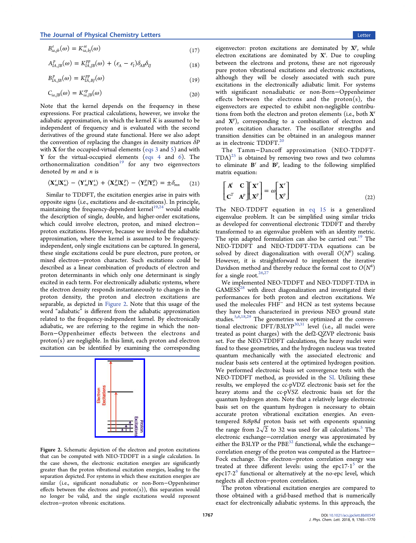<span id="page-2-0"></span>
$$
B_{ia,jb}^e(\omega) = K_{ia,bj}^{ee}(\omega)
$$
\n(17)

$$
A_{IA,JB}^p(\omega) = K_{IA,JB}^{pp}(\omega) + (\varepsilon_A - \varepsilon_I) \delta_{AB} \delta_{IJ}
$$
\n(18)

$$
B_{IA,JB}^p(\omega) = K_{IA,BJ}^{pp}(\omega)
$$
\n(19)

$$
C_{ia,JB}(\omega) = K_{ia,JB}^{ep}(\omega)
$$
\n(20)

Note that the kernel depends on the frequency in these expressions. For practical calculations, however, we invoke the adiabatic approximation, in which the kernel  $K$  is assumed to be independent of frequency and is evaluated with the second derivatives of the ground state functional. Here we also adopt the convention of replacing the changes in density matrices  $\delta P$ with **X** for the occupied-virtual elements (eqs  $3$  and  $5$ ) and with Y for the virtual-occupied elements [\(eqs 4](#page-1-0) and [6\)](#page-1-0). The orthonormalization condition<sup>[19](#page-5-0)</sup> for any two eigenvectors denoted by  $m$  and  $n$  is

$$
\langle \mathbf{X}_{m}^{e} | \mathbf{X}_{n}^{e} \rangle - \langle \mathbf{Y}_{m}^{e} | \mathbf{Y}_{n}^{e} \rangle + \langle \mathbf{X}_{m}^{p} | \mathbf{X}_{n}^{p} \rangle - \langle \mathbf{Y}_{m}^{p} | \mathbf{Y}_{n}^{p} \rangle = \pm \delta_{mn} \qquad (21)
$$

Similar to TDDFT, the excitation energies arise in pairs with opposite signs (i.e., excitations and de-excitations). In principle, maintaining the frequency-dependent kernel<sup>[19,24](#page-5-0)</sup> would enable the description of single, double, and higher-order excitations, which could involve electron, proton, and mixed electron− proton excitations. However, because we invoked the adiabatic approximation, where the kernel is assumed to be frequencyindependent, only single excitations can be captured. In general, these single excitations could be pure electron, pure proton, or mixed electron−proton character. Such excitations could be described as a linear combination of products of electron and proton determinants in which only one determinant is singly excited in each term. For electronically adiabatic systems, where the electron density responds instantaneously to changes in the proton density, the proton and electron excitations are separable, as depicted in Figure 2. Note that this usage of the word "adiabatic" is different from the adiabatic approximation related to the frequency-independent kernel. By electronically adiabatic, we are referring to the regime in which the non-Born−Oppenheimer effects between the electrons and proton(s) are negligible. In this limit, each proton and electron excitation can be identified by examining the corresponding



Figure 2. Schematic depiction of the electron and proton excitations that can be computed with NEO-TDDFT in a single calculation. In the case shown, the electronic excitation energies are significantly greater than the proton vibrational excitation energies, leading to the separation depicted. For systems in which these excitation energies are similar (i.e., significant nonadiabatic or non-Born−Oppenheimer effects between the electrons and  $proton(s)$ ), this separation would no longer be valid, and the single excitations would represent electron−proton vibronic excitations.

eigenvector: proton excitations are dominated by  $X^p$ , while electron excitations are dominated by  $X^e$ . Due to coupling between the electrons and protons, these are not rigorously pure proton vibrational excitations and electronic excitations, although they will be closely associated with such pure excitations in the electronically adiabatic limit. For systems with significant nonadiabatic or non-Born−Oppenheimer effects between the electrons and the  $proton(s)$ , the eigenvectors are expected to exhibit non-negligible contributions from both the electron and proton elements (i.e., both  $X^e$ and  $X^p$ ), corresponding to a combination of electron and proton excitation character. The oscillator strengths and transition densities can be obtained in an analogous manner as in electronic TDDFT.<sup>[20](#page-5-0)</sup>

The Tamm−Dancoff approximation (NEO-TDDFT- $(TDA)^{25}$  $(TDA)^{25}$  $(TDA)^{25}$  is obtained by removing two rows and two columns to eliminate  $B^e$  and  $B^p$ , leading to the following simplified matrix equation:

$$
\begin{bmatrix} A^c & C \\ C^T & A^p \end{bmatrix} \begin{bmatrix} X^c \\ X^p \end{bmatrix} = \omega \begin{bmatrix} X^c \\ X^p \end{bmatrix}
$$
 (22)

The NEO-TDDFT equation in [eq 15](#page-1-0) is a generalized eigenvalue problem. It can be simplified using similar tricks as developed for conventional electronic TDDFT and thereby transformed to an eigenvalue problem with an identity metric. The spin adapted formulation can also be carried out.<sup>[19](#page-5-0)</sup> The NEO-TDDFT and NEO-TDDFT-TDA equations can be solved by direct diagonalization with overall  $O(N^6)$  scaling. However, it is straightforward to implement the iterative Davidson method and thereby reduce the formal cost to  $O(N^4)$ for a single root. $26,27$ 

We implemented NEO-TDDFT and NEO-TDDFT-TDA in  $GAMESS^{28}$  $GAMESS^{28}$  $GAMESS^{28}$  with direct diagonalization and investigated their performances for both proton and electron excitations. We used the molecules FHF<sup>−</sup> and HCN as test systems because they have been characterized in previous NEO ground state studies.<sup>[5,6](#page-4-0)[,18](#page-5-0),[29](#page-5-0)</sup> The geometries were optimized at the conventional electronic  $\mathrm{DFT}/\mathrm{B3LYP}^{30,31}$  $\mathrm{DFT}/\mathrm{B3LYP}^{30,31}$  $\mathrm{DFT}/\mathrm{B3LYP}^{30,31}$  $\mathrm{DFT}/\mathrm{B3LYP}^{30,31}$  $\mathrm{DFT}/\mathrm{B3LYP}^{30,31}$  level (i.e., all nuclei were treated as point charges) with the def2-QZVP electronic basis set. For the NEO-TDDFT calculations, the heavy nuclei were fixed to these geometries, and the hydrogen nucleus was treated quantum mechanically with the associated electronic and nuclear basis sets centered at the optimized hydrogen position. We performed electronic basis set convergence tests with the NEO-TDDFT method, as provided in the [SI.](http://pubs.acs.org/doi/suppl/10.1021/acs.jpclett.8b00547/suppl_file/jz8b00547_si_001.pdf) Utilizing these results, we employed the cc-pVDZ electronic basis set for the heavy atoms and the cc-pV5Z electronic basis set for the quantum hydrogen atom. Note that a relatively large electronic basis set on the quantum hydrogen is necessary to obtain accurate proton vibrational excitation energies. An eventempered 8s8p8d proton basis set with exponents spanning the range from  $2\sqrt{2}$  to 32 was used for all calculations.<sup>[5](#page-4-0)</sup> The electronic exchange−correlation energy was approximated by either the B3LYP or the PBE<sup>32</sup> functional, while the exchange− correlation energy of the proton was computed as the Hartree− Fock exchange. The electron−proton correlation energy was treated at three different levels: using the epc17- $1<sup>5</sup>$  $1<sup>5</sup>$  $1<sup>5</sup>$  or the epc17-2 $^{\circ}$  functional or alternatively at the no-epc level, which neglects all electron−proton correlation.

The proton vibrational excitation energies are compared to those obtained with a grid-based method that is numerically exact for electronically adiabatic systems. In this approach, the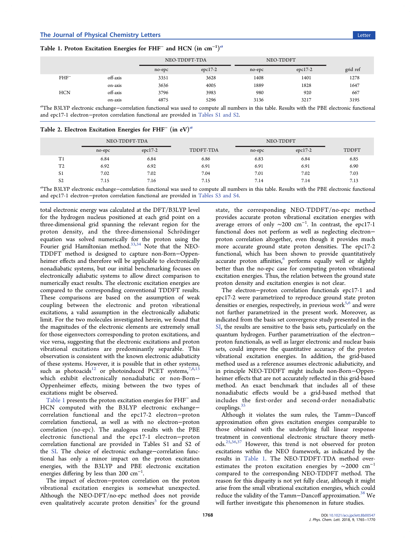<span id="page-3-0"></span>

| Table 1. Proton Excitation Energies for FHF <sup>-</sup> and HCN (in cm <sup>-1)a</sup> |  |
|-----------------------------------------------------------------------------------------|--|
|-----------------------------------------------------------------------------------------|--|

|            |          | NEO-TDDFT-TDA |           | NEO-TDDFT |           |          |
|------------|----------|---------------|-----------|-----------|-----------|----------|
|            |          | no-epc        | $epc17-2$ | no-epc    | $epc17-2$ | grid ref |
| $FHF^-$    | off-axis | 3351          | 3628      | 1408      | 1401      | 1278     |
|            | on-axis  | 3636          | 4005      | 1889      | 1828      | 1647     |
| <b>HCN</b> | off-axis | 3796          | 3983      | 980       | 920       | 667      |
|            | on-axis  | 4875          | 5296      | 3136      | 3217      | 3195     |

a<br>The B3LYP electronic exchange–correlation functional was used to compute all numbers in this table. Results with the PBE electronic functional and epc17-1 electron−proton correlation functional are provided in [Tables S1 and S2](http://pubs.acs.org/doi/suppl/10.1021/acs.jpclett.8b00547/suppl_file/jz8b00547_si_001.pdf).

|  | Table 2. Electron Excitation Energies for FHF $^{-}$ (in eV) <sup>a</sup> |  |  |  |
|--|---------------------------------------------------------------------------|--|--|--|
|  |                                                                           |  |  |  |

|                | NEO-TDDFT-TDA |           |           | NEO-TDDFT |           |              |
|----------------|---------------|-----------|-----------|-----------|-----------|--------------|
|                | no-epc        | $epc17-2$ | TDDFT-TDA | no-epc    | $epc17-2$ | <b>TDDFT</b> |
| T1             | 6.84          | 6.84      | 6.86      | 6.83      | 6.84      | 6.85         |
| T <sub>2</sub> | 6.92          | 6.92      | 6.91      | 6.91      | 6.91      | 6.90         |
| S <sub>1</sub> | 7.02          | 7.02      | 7.04      | 7.01      | 7.02      | 7.03         |
| S <sub>2</sub> | 7.15          | 7.16      | 7.15      | 7.14      | 7.14      | 7.13         |

a<br>The B3LYP electronic exchange–correlation functional was used to compute all numbers in this table. Results with the PBE electronic functional and epc17-1 electron−proton correlation functional are provided in [Tables S3 and S4](http://pubs.acs.org/doi/suppl/10.1021/acs.jpclett.8b00547/suppl_file/jz8b00547_si_001.pdf).

total electronic energy was calculated at the DFT/B3LYP level for the hydrogen nucleus positioned at each grid point on a three-dimensional grid spanning the relevant region for the proton density, and the three-dimensional Schrödinger equation was solved numerically for the proton using the Fourier grid Hamiltonian method.<sup>[33,34](#page-5-0)</sup> Note that the NEO-TDDFT method is designed to capture non-Born−Oppenheimer effects and therefore will be applicable to electronically nonadiabatic systems, but our initial benchmarking focuses on electronically adiabatic systems to allow direct comparison to numerically exact results. The electronic excitation energies are compared to the corresponding conventional TDDFT results. These comparisons are based on the assumption of weak coupling between the electronic and proton vibrational excitations, a valid assumption in the electronically adiabatic limit. For the two molecules investigated herein, we found that the magnitudes of the electronic elements are extremely small for those eigenvectors corresponding to proton excitations, and vice versa, suggesting that the electronic excitations and proton vibrational excitations are predominantly separable. This observation is consistent with the known electronic adiabaticity of these systems. However, it is possible that in other systems, such as photoacids<sup>[12](#page-4-0)</sup> or photoinduced PCET systems,<sup>[7,8,13](#page-4-0)</sup> which exhibit electronically nonadiabatic or non-Born− Oppenheimer effects, mixing between the two types of excitations might be observed.

Table 1 presents the proton excitation energies for FHF<sup>−</sup> and HCN computed with the B3LYP electronic exchangecorrelation functional and the epc17-2 electron−proton correlation functional, as well as with no electron−proton correlation (no-epc). The analogous results with the PBE electronic functional and the epc17-1 electron−proton correlation functional are provided in Tables S1 and S2 of the [SI](http://pubs.acs.org/doi/suppl/10.1021/acs.jpclett.8b00547/suppl_file/jz8b00547_si_001.pdf). The choice of electronic exchange−correlation functional has only a minor impact on the proton excitation energies, with the B3LYP and PBE electronic excitation energies differing by less than 200 cm<sup>-1</sup>. .

The impact of electron−proton correlation on the proton vibrational excitation energies is somewhat unexpected. Although the NEO-DFT/no-epc method does not provide even qualitatively accurate proton densities<sup>[5](#page-4-0)</sup> for the ground

state, the corresponding NEO-TDDFT/no-epc method provides accurate proton vibrational excitation energies with average errors of only  $\sim$ 200 cm<sup>-1</sup>. In contrast, the epc17-1 functional does not perform as well as neglecting electron− proton correlation altogether, even though it provides much more accurate ground state proton densities. The epc17-2 functional, which has been shown to provide quantitatively accurate proton affinities,<sup>[6](#page-4-0)</sup> performs equally well or slightly better than the no-epc case for computing proton vibrational excitation energies. Thus, the relation between the ground state proton density and excitation energies is not clear.

The electron−proton correlation functionals epc17-1 and epc17-2 were parametrized to reproduce ground state proton densities or energies, respectively, in previous work<sup>[5](#page-4-0),[6](#page-4-0)</sup> and were not further parametrized in the present work. Moreover, as indicated from the basis set convergence study presented in the [SI](http://pubs.acs.org/doi/suppl/10.1021/acs.jpclett.8b00547/suppl_file/jz8b00547_si_001.pdf), the results are sensitive to the basis sets, particularly on the quantum hydrogen. Further parametrization of the electron− proton functionals, as well as larger electronic and nuclear basis sets, could improve the quantitative accuracy of the proton vibrational excitation energies. In addition, the grid-based method used as a reference assumes electronic adiabaticity, and in principle NEO-TDDFT might include non-Born−Oppenheimer effects that are not accurately reflected in this grid-based method. An exact benchmark that includes all of these nonadiabatic effects would be a grid-based method that includes the first-order and second-order nonadiabatic couplings.<sup>[35](#page-5-0)</sup>

Although it violates the sum rules, the Tamm−Dancoff approximation often gives excitation energies comparable to those obtained with the underlying full linear response treatment in conventional electronic structure theory methods.[25,36](#page-5-0),[37](#page-5-0) However, this trend is not observed for proton excitations within the NEO framework, as indicated by the results in Table 1. The NEO-TDDFT-TDA method overestimates the proton excitation energies by ∼2000 cm<sup>−</sup><sup>1</sup> compared to the corresponding NEO-TDDFT method. The reason for this disparity is not yet fully clear, although it might arise from the small vibrational excitation energies, which could reduce the validity of the Tamm-Dancoff approximation.<sup>[38](#page-5-0)</sup> We will further investigate this phenomenon in future studies.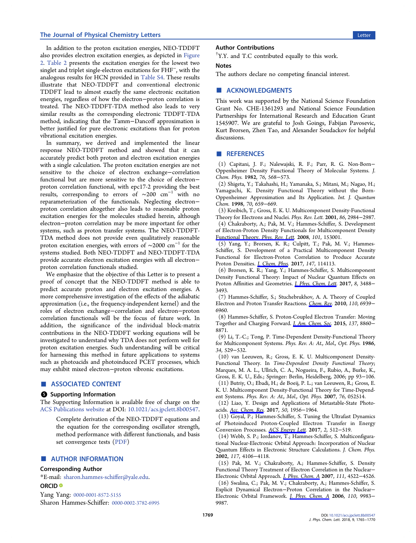## <span id="page-4-0"></span>The Journal of Physical Chemistry Letters Letters Letter Letter Letter Letter Letter Letter Letter Letter Letter

In addition to the proton excitation energies, NEO-TDDFT also provides electron excitation energies, as depicted in [Figure](#page-2-0) [2](#page-2-0). [Table 2](#page-3-0) presents the excitation energies for the lowest two singlet and triplet single-electron excitations for FHF<sup>−</sup>, with the analogous results for HCN provided in [Table S4.](http://pubs.acs.org/doi/suppl/10.1021/acs.jpclett.8b00547/suppl_file/jz8b00547_si_001.pdf) These results illustrate that NEO-TDDFT and conventional electronic TDDFT lead to almost exactly the same electronic excitation energies, regardless of how the electron−proton correlation is treated. The NEO-TDDFT-TDA method also leads to very similar results as the corresponding electronic TDDFT-TDA method, indicating that the Tamm−Dancoff approximation is better justified for pure electronic excitations than for proton vibrational excitation energies.

In summary, we derived and implemented the linear response NEO-TDDFT method and showed that it can accurately predict both proton and electron excitation energies with a single calculation. The proton excitation energies are not sensitive to the choice of electron exchange−correlation functional but are more sensitive to the choice of electron− proton correlation functional, with epc17-2 providing the best results, corresponding to errors of ∼200 cm<sup>−</sup><sup>1</sup> with no reparameterization of the functionals. Neglecting electron− proton correlation altogether also leads to reasonable proton excitation energies for the molecules studied herein, although electron−proton correlation may be more important for other systems, such as proton transfer systems. The NEO-TDDFT-TDA method does not provide even qualitatively reasonable proton excitation energies, with errors of ∼2000 cm<sup>−</sup><sup>1</sup> for the systems studied. Both NEO-TDDFT and NEO-TDDFT-TDA provide accurate electron excitation energies with all electron− proton correlation functionals studied.

We emphasize that the objective of this Letter is to present a proof of concept that the NEO-TDDFT method is able to predict accurate proton and electron excitation energies. A more comprehensive investigation of the effects of the adiabatic approximation (i.e., the frequency-independent kernel) and the roles of electron exchange−correlation and electron−proton correlation functionals will be the focus of future work. In addition, the significance of the individual block-matrix contributions in the NEO-TDDFT working equations will be investigated to understand why TDA does not perform well for proton excitation energies. Such understanding will be critical for harnessing this method in future applications to systems such as photoacids and photoinduced PCET processes, which may exhibit mixed electron−proton vibronic excitations.

# ■ ASSOCIATED CONTENT

## **6** Supporting Information

The Supporting Information is available free of charge on the [ACS Publications website](http://pubs.acs.org) at DOI: [10.1021/acs.jpclett.8b00547](http://pubs.acs.org/doi/abs/10.1021/acs.jpclett.8b00547).

Complete derivation of the NEO-TDDFT equations and the equation for the corresponding oscillator strength, method performance with different functionals, and basis set convergence tests ([PDF\)](http://pubs.acs.org/doi/suppl/10.1021/acs.jpclett.8b00547/suppl_file/jz8b00547_si_001.pdf)

### ■ AUTHOR INFORMATION

#### Corresponding Author

\*E-mail: [sharon.hammes-schi](mailto:sharon.hammes-schiffer@yale.edu)ffer@yale.edu.

#### ORCID<sup>®</sup>

Yang Yang: [0000-0001-8572-5155](http://orcid.org/0000-0001-8572-5155) Sharon Hammes-Schiffer: [0000-0002-3782-6995](http://orcid.org/0000-0002-3782-6995)

## Author Contributions

† Y.Y. and T.C contributed equally to this work.

## Notes

The authors declare no competing financial interest.

## ■ ACKNOWLEDGMENTS

This work was supported by the National Science Foundation Grant No. CHE-1361293 and National Science Foundation Partnerships for International Research and Education Grant 1545907. We are grateful to Josh Goings, Fabijan Pavosevic, Kurt Brorsen, Zhen Tao, and Alexander Soudackov for helpful discussions.

# ■ REFERENCES

(1) Capitani, J. F.; Nalewajski, R. F.; Parr, R. G. Non-Born− Oppenheimer Density Functional Theory of Molecular Systems. J. Chem. Phys. 1982, 76, 568−573.

(2) Shigeta, Y.; Takahashi, H.; Yamanaka, S.; Mitani, M.; Nagao, H.; Yamaguchi, K. Density Functional Theory without the Born-Oppenheimer Approximation and Its Application. Int. J. Quantum Chem. 1998, 70, 659−669.

(3) Kreibich, T.; Gross, E. K. U. Multicomponent Density-Functional Theory for Electrons and Nuclei. Phys. Rev. Lett. 2001, 86, 2984−2987.

(4) Chakraborty, A.; Pak, M. V.; Hammes-Schiffer, S. Development of Electron-Proton Density Functionals for Multicomponent Density [Functional Theory.](http://pubs.acs.org/action/showLinks?crossref=10.1103%2FPhysRevLett.101.153001&citationId=p_n_18_1) Phys. Rev. Lett. 2008, 101, 153001.

(5) Yang, Y.; Brorsen, K. R.; Culpitt, T.; Pak, M. V.; Hammes-Schiffer, S. Development of a Practical Multicomponent Density Functional for Electron-Proton Correlation to Produce Accurate Proton Densities. [J. Chem. Phys](http://pubs.acs.org/action/showLinks?pmid=28938833&crossref=10.1063%2F1.4996038&coi=1%3ACAS%3A528%3ADC%252BC2sXhsFels7jJ&citationId=p_n_22_1). 2017, 147, 114113.

(6) Brorsen, K. R.; Yang, Y.; Hammes-Schiffer, S. Multicomponent Density Functional Theory: Impact of Nuclear Quantum Effects on Proton Affinities and Geometries. *[J. Phys. Chem. Lett](http://pubs.acs.org/action/showLinks?system=10.1021%2Facs.jpclett.7b01442&coi=1%3ACAS%3A528%3ADC%252BC2sXhtFChtrvP&citationId=p_n_25_1).* 2017, 8, 3488− 3493.

(7) Hammes-Schiffer, S.; Stuchebrukhov, A. A. Theory of Coupled Electron and Proton Transfer Reactions. [Chem. Rev](http://pubs.acs.org/action/showLinks?system=10.1021%2Fcr1001436&coi=1%3ACAS%3A528%3ADC%252BC3cXhtlyhtbzN&citationId=p_n_28_1). 2010, 110, 6939− 6960.

(8) Hammes-Schiffer, S. Proton-Coupled Electron Transfer: Moving Together and Charging Forward. [J. Am. Chem. Soc](http://pubs.acs.org/action/showLinks?system=10.1021%2Fjacs.5b04087&coi=1%3ACAS%3A528%3ADC%252BC2MXhtVOit73E&citationId=p_n_31_1). 2015, 137, 8860− 8871.

(9) Li, T.-C.; Tong, P. Time-Dependent Density-Functional Theory for Multicomponent Systems. Phys. Rev. A: At., Mol., Opt. Phys. 1986, 34, 529−532.

(10) van Leeuwen, R.; Gross, E. K. U. Multicomponent Density-Functional Theory. In Time-Dependent Density Functional Theory; Marques, M. A. L., Ullrich, C. A., Nogueira, F., Rubio, A., Burke, K., Gross, E. K. U., Eds.; Springer: Berlin, Heidelberg, 2006; pp 93−106. (11) Butriy, O.; Ebadi, H.; de Boeij, P. L.; van Leeuwen, R.; Gross, E.

K. U. Multicomponent Density-Functional Theory for Time-Dependent Systems. Phys. Rev. A: At., Mol., Opt. Phys. 2007, 76, 052514.

(12) Liao, Y. Design and Applications of Metastable-State Photoacids. [Acc. Chem. Res](http://pubs.acs.org/action/showLinks?system=10.1021%2Facs.accounts.7b00190&coi=1%3ACAS%3A528%3ADC%252BC2sXhtFelu7vE&citationId=p_n_46_1). 2017, 50, 1956−1964.

(13) Goyal, P.; Hammes-Schiffer, S. Tuning the Ultrafast Dynamics of Photoinduced Proton-Coupled Electron Transfer in Energy Conversion Processes. [ACS Energy Lett.](http://pubs.acs.org/action/showLinks?system=10.1021%2Facsenergylett.6b00723&coi=1%3ACAS%3A528%3ADC%252BC2sXhsVGrs7g%253D&citationId=p_n_51_1) 2017, 2, 512−519.

(14) Webb, S. P.; Iordanov, T.; Hammes-Schiffer, S. Multiconfigurational Nuclear-Electronic Orbital Approach: Incorporation of Nuclear Quantum Effects in Electronic Structure Calculations. J. Chem. Phys. 2002, 117, 4106−4118.

(15) Pak, M. V.; Chakraborty, A.; Hammes-Schiffer, S. Density Functional Theory Treatment of Electron Correlation in the Nuclear− Electronic Orbital Approach. [J. Phys. Chem. A](http://pubs.acs.org/action/showLinks?system=10.1021%2Fjp0704463&coi=1%3ACAS%3A528%3ADC%252BD2sXkt1OqtLo%253D&citationId=p_n_62_1) 2007, 111, 4522−4526. (16) Swalina, C.; Pak, M. V.; Chakraborty, A.; Hammes-Schiffer, S. Explicit Dynamical Electron−Proton Correlation in the Nuclear− Electronic Orbital Framework. [J. Phys. Chem. A](http://pubs.acs.org/action/showLinks?system=10.1021%2Fjp0634297&coi=1%3ACAS%3A528%3ADC%252BD28XnsFemt70%253D&citationId=p_n_67_1) 2006, 110, 9983− 9987.